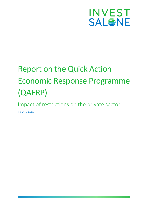

# Report on the Quick Action Economic Response Programme (QAERP)

Impact of restrictions on the private sector

18 May 2020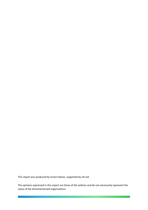This report was produced by Invest Salone, supported by UK aid.

The opinions expressed in this report are those of the authors and do not necessarily represent the views of the aforementioned organisations.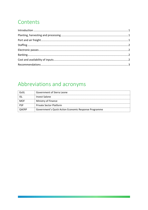## Contents

### Abbreviations and acronyms

| GoSL         | Government of Sierra Leone                            |
|--------------|-------------------------------------------------------|
|              | Invest Salone                                         |
| <b>MOF</b>   | Ministry of Finance                                   |
| <b>PSF</b>   | <b>Private Sector Platform</b>                        |
| <b>OAERP</b> | Government's Quick Action Economic Response Programme |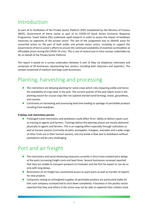#### <span id="page-3-0"></span>Introduction

As part of its facilitation of the Private Sector Platform (PSP) established by the Ministry of Finance (MOF), Government of Sierra Leone as part of its COVID-19 Quick Action Economic Response Programme, Invest Salone (ISL) undertook rapid research in order to assess the impact of lockdown measures on segments of the private sector. The aim of the assignment was to identify areas for concerted action on the part of both public and private sector actors, including to support the Government of Sierra Leone's efforts to ensure the continued availability of essential commodities at affordable prices during the COVID-19 crisis. This is one of several just-in-time surveys undertaken by ISL on behalf of the Private Sector Platform.

The report is based on a survey undertaken between 6 and 15 May via telephone interviews and comprises of 20 businesses representing four sectors, including both importers and exporters. The sample comprised of medium and large scale-businesses.

## <span id="page-3-1"></span>Planting, harvesting and processing

- $\blacksquare$  The restrictions are delaying planting for some crops which risks impacting yields and hence the availability of crops later in the year. The current quarter of the year (April–June) is the planting season for crucial crops like rice (upland and boli land farming), maize, groundnuts, and cassava.
- Constraints on harvesting and processing lead time leading to spoilage of perishable produce resulting from lockdown.

#### **If delays and restrictions persist:**

■ Prolonged travel restrictions and lockdowns could affect firms' ability to deliver inputs such as training to agents and farmers. Trainings before the planting season are mostly delivered physically to agents and farmers. This is an ongoing effort especially through cultivation as well as harvest seasons (currently oil palm, pineapples, mangoes, avocados and a wide range of other fruits are in their harvest season), and any break in flow due to lockdowns without exemptions will be very challenging.

#### <span id="page-3-2"></span>Port and air freight

- The restrictions and social distancing measures currently in force have created extra delays at the ports increasing freight costs and lead times. Several businesses surveyed reported that they are unable to transport products to Freetown and the Port for export or can do so only with long delays.
- Restrictions on air freight has constrained access to spare parts as well as transfer of experts for new projects.
- Companies relying on airfreighted supplies of perishable produce are particularly badly hit. One such company surveyed had to shut down completely. A business in the poultry sector reported that they and others in the sector may not be able to replenish their chicken stock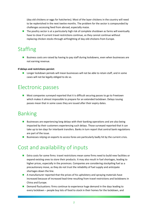(day old chickens or eggs for hatcheries). Most of the layer chickens in the country will need to be replenished in the next twelve months. The problem for the sector is compounded by challenges accessing feed from abroad, especially maize.

■ The poultry sector is at a particularly high risk of complete shutdown as farms will eventually have to close if current travel restrictions continue, as they cannot continue without replacing chicken stocks through airfreighting of day-old-chickens from Europe.

### <span id="page-4-0"></span>Staffing

■ Business costs are raised by having to pay staff during lockdowns, even when businesses are not earning revenue.

#### **If delays and restrictions persist:**

■ Longer lockdown periods will mean businesses will not be able to retain staff, and in some cases will not be legally obliged to do so.

#### <span id="page-4-1"></span>Electronic passes

■ Most companies surveyed reported that it is difficult securing passes to go to Freetown which makes it almost impossible to prepare for an extended lockdown. Delays issuing passes mean that in some cases they are issued after their expiry dates.

### <span id="page-4-2"></span>Banking

- Businesses are experiencing long delays with their banking operations and are also being impacted by their customers experiencing such delays. Those surveyed reported that it can take up to ten days for interbank transfers. Banks in turn report that central bank regulations are part of the issue.
- Businesses relying on exports to access forex are particularly badly hit by the current crisis.

#### <span id="page-4-3"></span>Cost and availability of inputs

- Extra costs for some firms: travel restrictions mean some firms need to build new facilities or expand existing ones to store their products. It may also result in fuel shortages, leading to higher prices, especially in the provinces. Companies are considering stockpiling fuel as a precautionary move, as they do not trust the reliability of fuel supply and anticipate shortages down the line.
- A manufacturer reported that the prices of his upholstery and spraying materials have increased because of increased lead time resulting from travel restrictions and lockdowns in China and Europe.
- Demand fluctuations: firms continue to experience huge demand in the days leading to every lockdown – people buy lots of food to stock in their homes for the lockdown, and